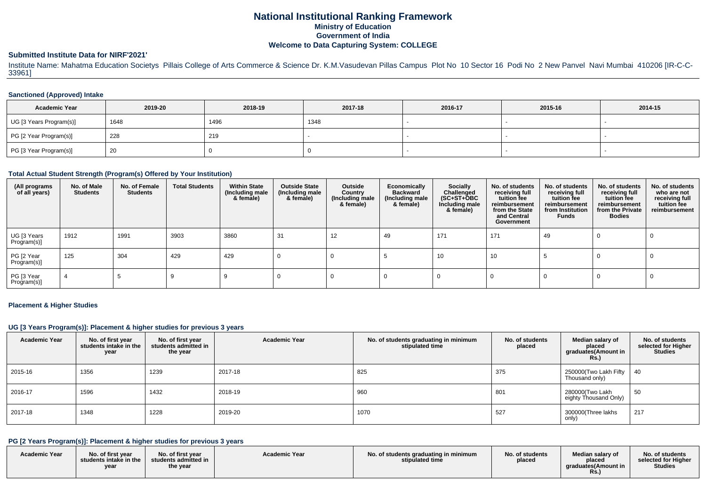# **National Institutional Ranking FrameworkMinistry of Education Government of IndiaWelcome to Data Capturing System: COLLEGE**

#### **Submitted Institute Data for NIRF'2021'**

Institute Name: Mahatma Education Societys Pillais College of Arts Commerce & Science Dr. K.M.Vasudevan Pillas Campus Plot No 10 Sector 16 Podi No 2 New Panvel Navi Mumbai 410206 [IR-C-C-33961]

#### **Sanctioned (Approved) Intake**

| <b>Academic Year</b>    | 2019-20 | 2018-19 | 2017-18 | 2016-17 | 2015-16 | 2014-15 |
|-------------------------|---------|---------|---------|---------|---------|---------|
| UG [3 Years Program(s)] | 1648    | 1496    | 1348    |         |         |         |
| PG [2 Year Program(s)]  | 228     | 219     |         |         |         |         |
| PG [3 Year Program(s)]  | -20     |         |         |         |         |         |

### **Total Actual Student Strength (Program(s) Offered by Your Institution)**

| (All programs<br>of all years) | No. of Male<br><b>Students</b> | No. of Female<br><b>Students</b> | <b>Total Students</b> | <b>Within State</b><br>(Including male<br>& female) | <b>Outside State</b><br>(Including male<br>& female) | Outside<br>Country<br>(Including male<br>& female) | Economically<br><b>Backward</b><br>(Including male<br>& female) | <b>Socially</b><br>Challenged<br>$(SC+ST+\text{O}BC)$<br>Including male<br>& female) | No. of students<br>receiving full<br>tuition fee<br>reimbursement<br>from the State<br>and Central<br>Government | No. of students<br>receiving full<br>tuition fee<br>reimbursement<br>from Institution<br><b>Funds</b> | No. of students<br>receiving full<br>tuition fee<br>reimbursement<br>from the Private<br><b>Bodies</b> | No. of students<br>who are not<br>receiving full<br>tuition fee<br>reimbursement |
|--------------------------------|--------------------------------|----------------------------------|-----------------------|-----------------------------------------------------|------------------------------------------------------|----------------------------------------------------|-----------------------------------------------------------------|--------------------------------------------------------------------------------------|------------------------------------------------------------------------------------------------------------------|-------------------------------------------------------------------------------------------------------|--------------------------------------------------------------------------------------------------------|----------------------------------------------------------------------------------|
| UG [3 Years<br>Program(s)]     | 1912                           | 1991                             | 3903                  | 3860                                                | 31                                                   | 12                                                 | 49                                                              | 171                                                                                  | 171                                                                                                              | 49                                                                                                    |                                                                                                        |                                                                                  |
| PG [2 Year<br>Program(s)]      | 125                            | 304                              | 429                   | 429                                                 |                                                      |                                                    |                                                                 | 10                                                                                   | 10                                                                                                               |                                                                                                       |                                                                                                        |                                                                                  |
| PG [3 Year<br>Program(s)]      | -4                             |                                  |                       |                                                     |                                                      |                                                    |                                                                 |                                                                                      |                                                                                                                  |                                                                                                       |                                                                                                        |                                                                                  |

#### **Placement & Higher Studies**

#### **UG [3 Years Program(s)]: Placement & higher studies for previous 3 years**

| <b>Academic Year</b> | No. of first year<br>students intake in the<br>year | No. of first year<br>students admitted in<br>the year | <b>Academic Year</b> | No. of students graduating in minimum<br>stipulated time | No. of students<br>placed | Median salary of<br>placed<br>graduates(Amount in<br>R <sub>s</sub> | No. of students<br>selected for Higher<br><b>Studies</b> |
|----------------------|-----------------------------------------------------|-------------------------------------------------------|----------------------|----------------------------------------------------------|---------------------------|---------------------------------------------------------------------|----------------------------------------------------------|
| 2015-16              | 1356                                                | 1239                                                  | 2017-18              | 825                                                      | 375                       | 250000(Two Lakh Fifty<br>Thousand only)                             | 40                                                       |
| 2016-17              | 1596                                                | 1432                                                  | 2018-19              | 960                                                      | 801                       | 280000(Two Lakh<br>eighty Thousand Only)                            | 50                                                       |
| 2017-18              | 1348                                                | 1228                                                  | 2019-20              | 1070                                                     | 527                       | 300000(Three lakhs<br>only)                                         | 217                                                      |

## **PG [2 Years Program(s)]: Placement & higher studies for previous 3 years**

| <b>Academic Year</b> | No. of first vear<br>students intake in the<br>year | No. of first year<br>students admitted in<br>the year | <b>Academic Year</b> | No. of students graduating in minimum<br>stipulated time | No. of students<br>placed | Median salary of<br>placec<br>, araduates(Amount in<br><b>Rs.,</b> | No. of students<br>selected for Higher<br><b>Studies</b> |
|----------------------|-----------------------------------------------------|-------------------------------------------------------|----------------------|----------------------------------------------------------|---------------------------|--------------------------------------------------------------------|----------------------------------------------------------|
|----------------------|-----------------------------------------------------|-------------------------------------------------------|----------------------|----------------------------------------------------------|---------------------------|--------------------------------------------------------------------|----------------------------------------------------------|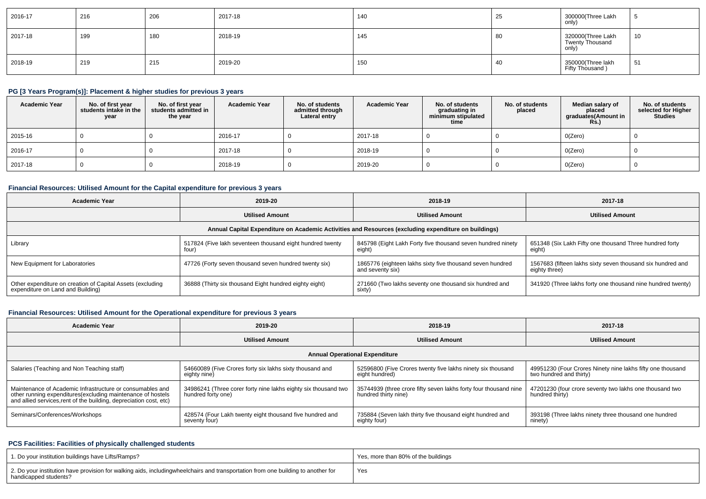| 2016-17 | 216 | 206 | 2017-18 | 140 | 25 | 300000(Three Lakh<br>only)                           |    |
|---------|-----|-----|---------|-----|----|------------------------------------------------------|----|
| 2017-18 | 199 | 180 | 2018-19 | 145 | 80 | 320000(Three Lakh<br><b>Twenty Thousand</b><br>only) | 10 |
| 2018-19 | 219 | 215 | 2019-20 | 150 | 40 | 350000(Three lakh<br>Fifty Thousand )                | 51 |

## **PG [3 Years Program(s)]: Placement & higher studies for previous 3 years**

| <b>Academic Year</b> | No. of first year<br>students intake in the<br>year | No. of first year<br>students admitted in<br>the year | <b>Academic Year</b> | No. of students<br>admitted through<br>Lateral entry | <b>Academic Year</b> | No. of students<br>graduating in<br>minimum stipulated<br>time | No. of students<br>placed | Median salary of<br>placed<br>graduates(Amount in<br><b>Rs.</b> ) | No. of students<br>selected for Higher<br><b>Studies</b> |
|----------------------|-----------------------------------------------------|-------------------------------------------------------|----------------------|------------------------------------------------------|----------------------|----------------------------------------------------------------|---------------------------|-------------------------------------------------------------------|----------------------------------------------------------|
| 2015-16              |                                                     |                                                       | 2016-17              |                                                      | 2017-18              |                                                                |                           | O(Zero)                                                           |                                                          |
| $12016 - 17$         |                                                     |                                                       | 2017-18              |                                                      | 2018-19              |                                                                |                           | O(Zero)                                                           |                                                          |
| 2017-18              |                                                     |                                                       | 2018-19              |                                                      | 2019-20              |                                                                |                           | O(Zero)                                                           |                                                          |

## **Financial Resources: Utilised Amount for the Capital expenditure for previous 3 years**

| <b>Academic Year</b>                                                                                 | 2019-20                                                            | 2018-19                                                                           | 2017-18                                                                      |  |  |  |  |  |  |  |
|------------------------------------------------------------------------------------------------------|--------------------------------------------------------------------|-----------------------------------------------------------------------------------|------------------------------------------------------------------------------|--|--|--|--|--|--|--|
|                                                                                                      | <b>Utilised Amount</b>                                             | <b>Utilised Amount</b>                                                            | <b>Utilised Amount</b>                                                       |  |  |  |  |  |  |  |
| Annual Capital Expenditure on Academic Activities and Resources (excluding expenditure on buildings) |                                                                    |                                                                                   |                                                                              |  |  |  |  |  |  |  |
| Library                                                                                              | 517824 (Five lakh seventeen thousand eight hundred twenty<br>four) | 845798 (Eight Lakh Forty five thousand seven hundred ninety<br>eight <sup>'</sup> | 651348 (Six Lakh Fifty one thousand Three hundred forty<br>eight)            |  |  |  |  |  |  |  |
| New Equipment for Laboratories                                                                       | 47726 (Forty seven thousand seven hundred twenty six)              | 1865776 (eighteen lakhs sixty five thousand seven hundred<br>and seventy six)     | 1567683 (fifteen lakhs sixty seven thousand six hundred and<br>eighty three) |  |  |  |  |  |  |  |
| Other expenditure on creation of Capital Assets (excluding<br>expenditure on Land and Building)      | 36888 (Thirty six thousand Eight hundred eighty eight)             | 271660 (Two lakhs seventy one thousand six hundred and<br>sixty)                  | 341920 (Three lakhs forty one thousand nine hundred twenty)                  |  |  |  |  |  |  |  |

#### **Financial Resources: Utilised Amount for the Operational expenditure for previous 3 years**

| <b>Academic Year</b>                                                                                                              | 2019-20                                                        | 2018-19                                                          | 2017-18                                                    |  |  |  |  |  |  |  |
|-----------------------------------------------------------------------------------------------------------------------------------|----------------------------------------------------------------|------------------------------------------------------------------|------------------------------------------------------------|--|--|--|--|--|--|--|
|                                                                                                                                   | <b>Utilised Amount</b>                                         | <b>Utilised Amount</b>                                           | <b>Utilised Amount</b>                                     |  |  |  |  |  |  |  |
| <b>Annual Operational Expenditure</b>                                                                                             |                                                                |                                                                  |                                                            |  |  |  |  |  |  |  |
| Salaries (Teaching and Non Teaching staff)                                                                                        | 54660089 (Five Crores forty six lakhs sixty thousand and       | 52596800 (Five Crores twenty five lakhs ninety six thousand      | 49951230 (Four Crores Ninety nine lakhs fifty one thousand |  |  |  |  |  |  |  |
|                                                                                                                                   | eighty nine)                                                   | eight hundred)                                                   | two hundred and thirty)                                    |  |  |  |  |  |  |  |
| Maintenance of Academic Infrastructure or consumables and                                                                         | 34986241 (Three corer forty nine lakhs eighty six thousand two | 35744939 (three crore fifty seven lakhs forty four thousand nine | 47201230 (four crore seventy two lakhs one thousand two    |  |  |  |  |  |  |  |
| other running expenditures(excluding maintenance of hostels<br>and allied services, rent of the building, depreciation cost, etc) | hundred forty one)                                             | hundred thirty nine)                                             | hundred thirty)                                            |  |  |  |  |  |  |  |
| Seminars/Conferences/Workshops                                                                                                    | 428574 (Four Lakh twenty eight thousand five hundred and       | 735884 (Seven lakh thirty five thousand eight hundred and        | 393198 (Three lakhs ninety three thousand one hundred      |  |  |  |  |  |  |  |
|                                                                                                                                   | seventy four)                                                  | eighty four)                                                     | ninety)                                                    |  |  |  |  |  |  |  |

## **PCS Facilities: Facilities of physically challenged students**

| 1. Do your institution buildings have Lifts/Ramps?                                                                                                        | Yes, more than 80% of the buildings |
|-----------------------------------------------------------------------------------------------------------------------------------------------------------|-------------------------------------|
| 2. Do your institution have provision for walking aids, includingwheelchairs and transportation from one building to another for<br>handicapped students? | Yes                                 |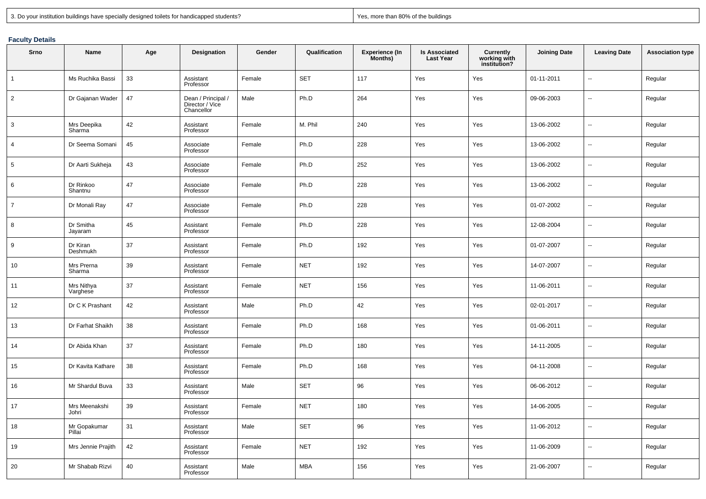|  | 3. Do vour institution buildings have specially designed toilets for handicapped students? | han 80% of<br>$\sim$ then h<br>Yes<br>uildinas<br>more tl |
|--|--------------------------------------------------------------------------------------------|-----------------------------------------------------------|
|--|--------------------------------------------------------------------------------------------|-----------------------------------------------------------|

#### **Faculty Details**

| Srno            | <b>Name</b>            | Age | Designation                                         | Gender | Qualification | <b>Experience (In</b><br>Months) | <b>Is Associated</b><br><b>Last Year</b> | Currently<br>working with<br>institution? | <b>Joining Date</b> | <b>Leaving Date</b>      | <b>Association type</b> |
|-----------------|------------------------|-----|-----------------------------------------------------|--------|---------------|----------------------------------|------------------------------------------|-------------------------------------------|---------------------|--------------------------|-------------------------|
| $\overline{1}$  | Ms Ruchika Bassi       | 33  | Assistant<br>Professor                              | Female | <b>SET</b>    | 117                              | Yes                                      | Yes                                       | 01-11-2011          | $\ddotsc$                | Regular                 |
| $\overline{2}$  | Dr Gajanan Wader       | 47  | Dean / Principal /<br>Director / Vice<br>Chancellor | Male   | Ph.D          | 264                              | Yes                                      | Yes                                       | 09-06-2003          |                          | Regular                 |
| 3               | Mrs Deepika<br>Sharma  | 42  | Assistant<br>Professor                              | Female | M. Phil       | 240                              | Yes                                      | Yes                                       | 13-06-2002          | ÷.                       | Regular                 |
| $\overline{4}$  | Dr Seema Somani        | 45  | Associate<br>Professor                              | Female | Ph.D          | 228                              | Yes                                      | Yes                                       | 13-06-2002          |                          | Regular                 |
| $5\phantom{.0}$ | Dr Aarti Sukheja       | 43  | Associate<br>Professor                              | Female | Ph.D          | 252                              | Yes                                      | Yes                                       | 13-06-2002          | $\overline{\phantom{a}}$ | Regular                 |
| 6               | Dr Rinkoo<br>Shantnu   | 47  | Associate<br>Professor                              | Female | Ph.D          | 228                              | Yes                                      | Yes                                       | 13-06-2002          | ÷.                       | Regular                 |
| $\overline{7}$  | Dr Monali Ray          | 47  | Associate<br>Professor                              | Female | Ph.D          | 228                              | Yes                                      | Yes                                       | 01-07-2002          | $\sim$                   | Regular                 |
| 8               | Dr Smitha<br>Jayaram   | 45  | Assistant<br>Professor                              | Female | Ph.D          | 228                              | Yes                                      | Yes                                       | 12-08-2004          | $\ddotsc$                | Regular                 |
| 9               | Dr Kiran<br>Deshmukh   | 37  | Assistant<br>Professor                              | Female | Ph.D          | 192                              | Yes                                      | Yes                                       | 01-07-2007          |                          | Regular                 |
| 10              | Mrs Prerna<br>Sharma   | 39  | Assistant<br>Professor                              | Female | <b>NET</b>    | 192                              | Yes                                      | Yes                                       | 14-07-2007          | $\mathbf{u}$             | Regular                 |
| 11              | Mrs Nithya<br>Varghese | 37  | Assistant<br>Professor                              | Female | <b>NET</b>    | 156                              | Yes                                      | Yes                                       | 11-06-2011          | ۰.                       | Regular                 |
| 12              | Dr C K Prashant        | 42  | Assistant<br>Professor                              | Male   | Ph.D          | 42                               | Yes                                      | Yes                                       | 02-01-2017          | $\ddotsc$                | Regular                 |
| 13              | Dr Farhat Shaikh       | 38  | Assistant<br>Professor                              | Female | Ph.D          | 168                              | Yes                                      | Yes                                       | 01-06-2011          | Щ,                       | Regular                 |
| 14              | Dr Abida Khan          | 37  | Assistant<br>Professor                              | Female | Ph.D          | 180                              | Yes                                      | Yes                                       | 14-11-2005          | -−                       | Regular                 |
| 15              | Dr Kavita Kathare      | 38  | Assistant<br>Professor                              | Female | Ph.D          | 168                              | Yes                                      | Yes                                       | 04-11-2008          | Щ,                       | Regular                 |
| 16              | Mr Shardul Buva        | 33  | Assistant<br>Professor                              | Male   | <b>SET</b>    | 96                               | Yes                                      | Yes                                       | 06-06-2012          | $\ddotsc$                | Regular                 |
| 17              | Mrs Meenakshi<br>Johri | 39  | Assistant<br>Professor                              | Female | <b>NET</b>    | 180                              | Yes                                      | Yes                                       | 14-06-2005          |                          | Regular                 |
| 18              | Mr Gopakumar<br>Pillai | 31  | Assistant<br>Professor                              | Male   | <b>SET</b>    | 96                               | Yes                                      | Yes                                       | 11-06-2012          | $\overline{\phantom{a}}$ | Regular                 |
| 19              | Mrs Jennie Prajith     | 42  | Assistant<br>Professor                              | Female | <b>NET</b>    | 192                              | Yes                                      | Yes                                       | 11-06-2009          | $\ddotsc$                | Regular                 |
| 20              | Mr Shabab Rizvi        | 40  | Assistant<br>Professor                              | Male   | <b>MBA</b>    | 156                              | Yes                                      | Yes                                       | 21-06-2007          | ÷.                       | Regular                 |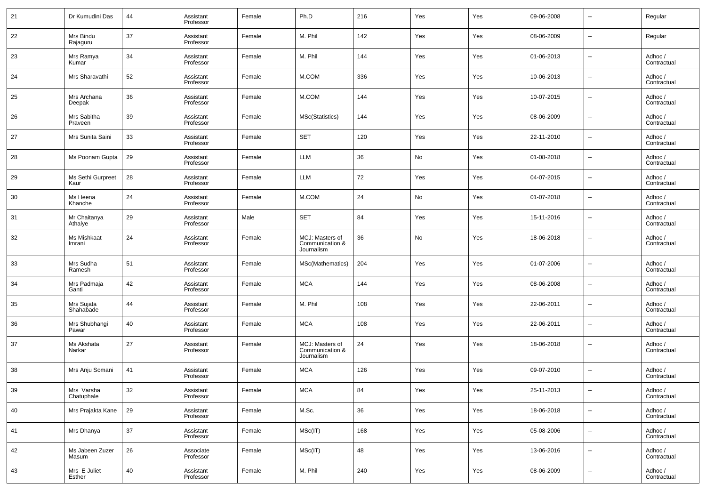| 21     | Dr Kumudini Das           | 44 | Assistant<br>Professor | Female | Ph.D                                             | 216 | Yes | Yes | 09-06-2008 | $\overline{\phantom{a}}$ | Regular                |
|--------|---------------------------|----|------------------------|--------|--------------------------------------------------|-----|-----|-----|------------|--------------------------|------------------------|
| 22     | Mrs Bindu<br>Rajaguru     | 37 | Assistant<br>Professor | Female | M. Phil                                          | 142 | Yes | Yes | 08-06-2009 | $\overline{\phantom{a}}$ | Regular                |
| 23     | Mrs Ramya<br>Kumar        | 34 | Assistant<br>Professor | Female | M. Phil                                          | 144 | Yes | Yes | 01-06-2013 | $\overline{\phantom{a}}$ | Adhoc /<br>Contractual |
| 24     | Mrs Sharavathi            | 52 | Assistant<br>Professor | Female | M.COM                                            | 336 | Yes | Yes | 10-06-2013 | $\overline{\phantom{a}}$ | Adhoc /<br>Contractual |
| 25     | Mrs Archana<br>Deepak     | 36 | Assistant<br>Professor | Female | M.COM                                            | 144 | Yes | Yes | 10-07-2015 | $\overline{\phantom{a}}$ | Adhoc /<br>Contractual |
| 26     | Mrs Sabitha<br>Praveen    | 39 | Assistant<br>Professor | Female | MSc(Statistics)                                  | 144 | Yes | Yes | 08-06-2009 | $\overline{\phantom{a}}$ | Adhoc /<br>Contractual |
| 27     | Mrs Sunita Saini          | 33 | Assistant<br>Professor | Female | <b>SET</b>                                       | 120 | Yes | Yes | 22-11-2010 | $\overline{\phantom{a}}$ | Adhoc /<br>Contractual |
| 28     | Ms Poonam Gupta           | 29 | Assistant<br>Professor | Female | LLM                                              | 36  | No  | Yes | 01-08-2018 | $\overline{\phantom{a}}$ | Adhoc /<br>Contractual |
| 29     | Ms Sethi Gurpreet<br>Kaur | 28 | Assistant<br>Professor | Female | LLM                                              | 72  | Yes | Yes | 04-07-2015 | $\overline{\phantom{a}}$ | Adhoc /<br>Contractual |
| 30     | Ms Heena<br>Khanche       | 24 | Assistant<br>Professor | Female | M.COM                                            | 24  | No  | Yes | 01-07-2018 | $\overline{\phantom{a}}$ | Adhoc /<br>Contractual |
| 31     | Mr Chaitanya<br>Athalye   | 29 | Assistant<br>Professor | Male   | <b>SET</b>                                       | 84  | Yes | Yes | 15-11-2016 | $\overline{\phantom{a}}$ | Adhoc /<br>Contractual |
| 32     | Ms Mishkaat<br>Imrani     | 24 | Assistant<br>Professor | Female | MCJ: Masters of<br>Communication &<br>Journalism | 36  | No  | Yes | 18-06-2018 | --                       | Adhoc /<br>Contractual |
| 33     | Mrs Sudha<br>Ramesh       | 51 | Assistant<br>Professor | Female | MSc(Mathematics)                                 | 204 | Yes | Yes | 01-07-2006 | --                       | Adhoc /<br>Contractual |
| 34     | Mrs Padmaja<br>Ganti      | 42 | Assistant<br>Professor | Female | <b>MCA</b>                                       | 144 | Yes | Yes | 08-06-2008 | $\overline{\phantom{a}}$ | Adhoc /<br>Contractual |
| 35     | Mrs Sujata<br>Shahabade   | 44 | Assistant<br>Professor | Female | M. Phil                                          | 108 | Yes | Yes | 22-06-2011 | ш.                       | Adhoc /<br>Contractual |
| 36     | Mrs Shubhangi<br>Pawar    | 40 | Assistant<br>Professor | Female | <b>MCA</b>                                       | 108 | Yes | Yes | 22-06-2011 | ш.                       | Adhoc /<br>Contractual |
| 37     | Ms Akshata<br>Narkar      | 27 | Assistant<br>Professor | Female | MCJ: Masters of<br>Communication &<br>Journalism | 24  | Yes | Yes | 18-06-2018 | --                       | Adhoc /<br>Contractual |
| 38     | Mrs Anju Somani           | 41 | Assistant<br>Professor | Female | <b>MCA</b>                                       | 126 | Yes | Yes | 09-07-2010 | --                       | Adhoc/<br>Contractual  |
| $39\,$ | Mrs Varsha<br>Chatuphale  | 32 | Assistant<br>Professor | Female | MCA                                              | 84  | Yes | Yes | 25-11-2013 | $\overline{\phantom{a}}$ | Adhoc /<br>Contractual |
| 40     | Mrs Prajakta Kane         | 29 | Assistant<br>Professor | Female | M.Sc.                                            | 36  | Yes | Yes | 18-06-2018 | Щ.                       | Adhoc /<br>Contractual |
| 41     | Mrs Dhanya                | 37 | Assistant<br>Professor | Female | MSC(IT)                                          | 168 | Yes | Yes | 05-08-2006 | ш,                       | Adhoc /<br>Contractual |
| 42     | Ms Jabeen Zuzer<br>Masum  | 26 | Associate<br>Professor | Female | MSC(IT)                                          | 48  | Yes | Yes | 13-06-2016 | Щ.                       | Adhoc /<br>Contractual |
| 43     | Mrs E Juliet<br>Esther    | 40 | Assistant<br>Professor | Female | M. Phil                                          | 240 | Yes | Yes | 08-06-2009 | н.                       | Adhoc /<br>Contractual |